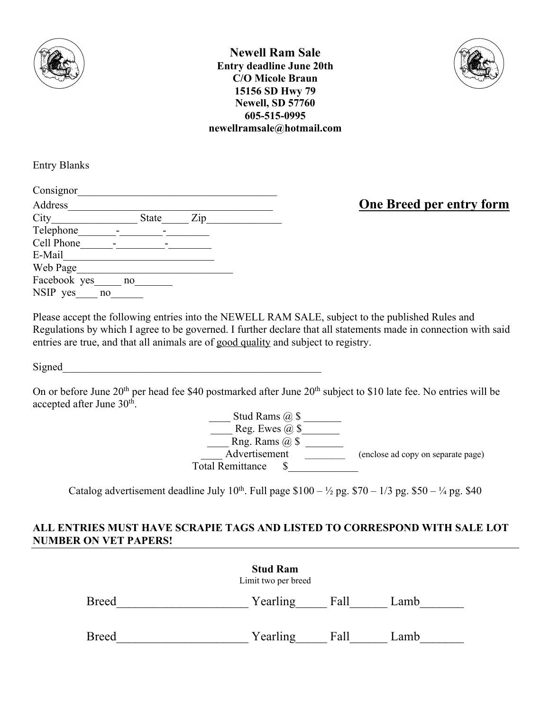

**Newell Ram Sale Entry deadline June 20th C/O Micole Braun 15156 SD Hwy 79 Newell, SD 57760 605-515-0995 newellramsale@hotmail.com**



Entry Blanks

| Consignor    |    |              |     |  |
|--------------|----|--------------|-----|--|
| Address      |    |              |     |  |
| City         |    | <b>State</b> | Zip |  |
| Telephone    |    |              |     |  |
| Cell Phone   |    |              |     |  |
| E-Mail       |    |              |     |  |
| Web Page     |    |              |     |  |
| Facebook yes | no |              |     |  |
| NSIP yes     | no |              |     |  |

**One Breed per entry form** 

Please accept the following entries into the NEWELL RAM SALE, subject to the published Rules and Regulations by which I agree to be governed. I further declare that all statements made in connection with said entries are true, and that all animals are of good quality and subject to registry.

Signed

On or before June 20<sup>th</sup> per head fee \$40 postmarked after June 20<sup>th</sup> subject to \$10 late fee. No entries will be accepted after June 30<sup>th</sup>.

> \_\_\_\_ Stud Rams @ \$ \_\_\_\_\_\_\_ Reg. Ewes  $\omega$  \$  $\overline{\phantom{a}}$ Rng. Rams  $\overset{\sim}{\omega}$  \$ Advertisement \_\_\_\_\_\_\_\_\_\_\_\_\_\_\_\_ (enclose ad copy on separate page) Total Remittance \$

Catalog advertisement deadline July 10<sup>th</sup>. Full page  $$100 - \frac{1}{2}$  pg.  $$70 - \frac{1}{3}$  pg.  $$50 - \frac{1}{4}$  pg. \$40

## **ALL ENTRIES MUST HAVE SCRAPIE TAGS AND LISTED TO CORRESPOND WITH SALE LOT NUMBER ON VET PAPERS!**

|              | <b>Stud Ram</b><br>Limit two per breed |      |      |
|--------------|----------------------------------------|------|------|
| <b>Breed</b> | Yearling                               | Fall | Lamb |
| <b>Breed</b> | Yearling                               | Fall | Lamb |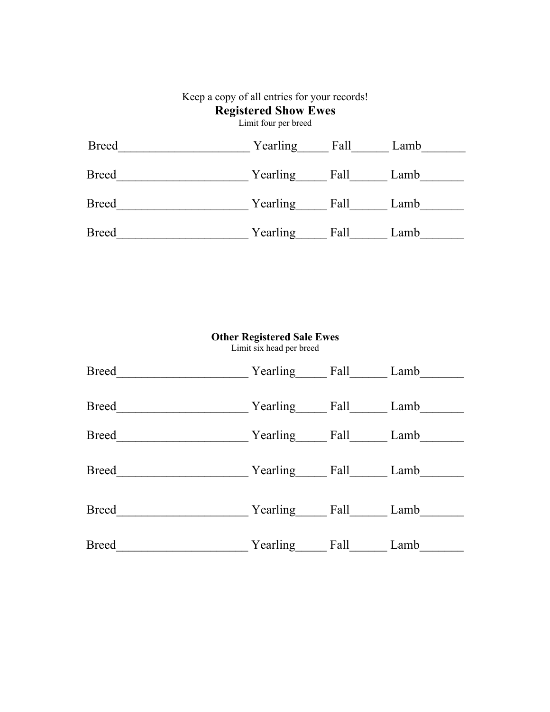## Keep a copy of all entries for your records! **Registered Show Ewes** Limit four per breed Breed Yearling Fall Lamb Breed Yearling Fall Lamb Breed\_\_\_\_\_\_\_\_\_\_\_\_\_\_\_\_\_\_\_\_\_\_\_\_\_ Yearling\_\_\_\_\_\_\_ Fall\_\_\_\_\_\_\_\_ Lamb\_\_\_\_\_\_\_\_\_ Breed\_\_\_\_\_\_\_\_\_\_\_\_\_\_\_\_\_\_\_\_\_\_\_\_\_\_Yearling\_\_\_\_\_\_\_\_Fall\_\_\_\_\_\_\_Lamb\_\_\_\_\_\_\_\_\_\_\_\_\_\_\_\_\_\_

| <b>Other Registered Sale Ewes</b><br>Limit six head per breed |          |      |      |  |  |
|---------------------------------------------------------------|----------|------|------|--|--|
| <b>Breed</b>                                                  | Yearling | Fall | Lamb |  |  |
| <b>Breed</b>                                                  | Yearling | Fall | Lamb |  |  |
| <b>Breed</b>                                                  | Yearling | Fall | Lamb |  |  |
| <b>Breed</b>                                                  | Yearling | Fall | Lamb |  |  |
| <b>Breed</b>                                                  | Yearling | Fall | Lamb |  |  |
| <b>Breed</b>                                                  | Yearling | Fall | Lamb |  |  |